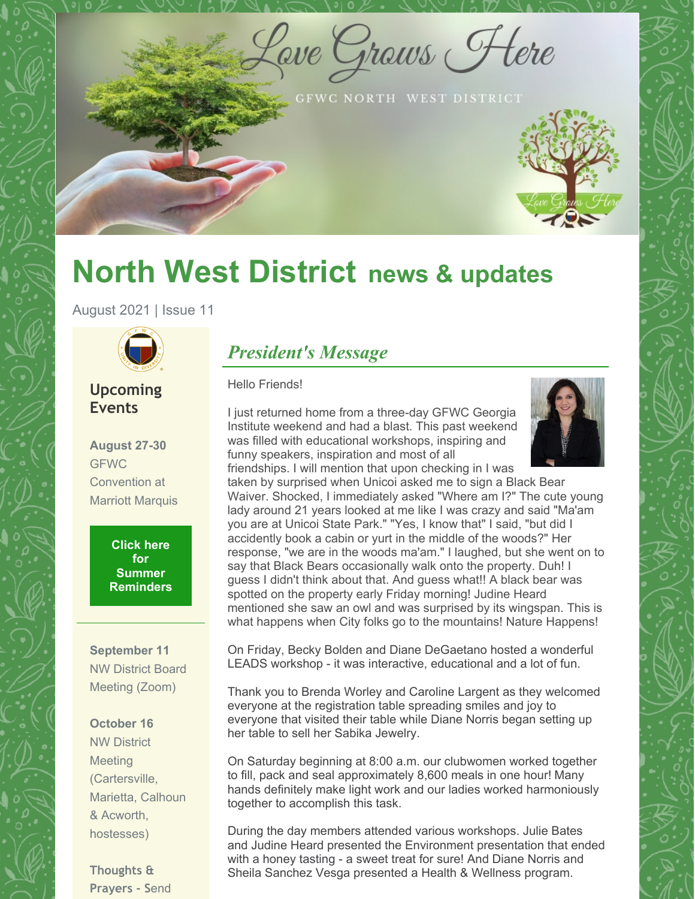Lave Graws Flere

GFWC NORTH WEST DISTRICT

# **North West District news & updates**

August 2021 | Issue 11



### **Upcoming Events**

**August 27-30 GFWC** Convention at Marriott Marquis

> **Click here for Summer [Reminders](https://files.constantcontact.com/d8c8c931801/ee43da52-1cdb-4f98-9213-bf2d2eb84b11.pdf)**

**September 11** NW District Board Meeting (Zoom)

#### **October 16**

NW District **Meeting** (Cartersville, Marietta, Calhoun & Acworth, hostesses)

**Thoughts & Prayers - S**end

### *President's Message*

#### Hello Friends!

I just returned home from a three-day GFWC Georgia Institute weekend and had a blast. This past weekend was filled with educational workshops, inspiring and funny speakers, inspiration and most of all friendships. I will mention that upon checking in I was



taken by surprised when Unicoi asked me to sign a Black Bear Waiver. Shocked, I immediately asked "Where am I?" The cute young lady around 21 years looked at me like I was crazy and said "Ma'am you are at Unicoi State Park." "Yes, I know that" I said, "but did I accidently book a cabin or yurt in the middle of the woods?" Her response, "we are in the woods ma'am." I laughed, but she went on to say that Black Bears occasionally walk onto the property. Duh! I guess I didn't think about that. And guess what!! A black bear was spotted on the property early Friday morning! Judine Heard mentioned she saw an owl and was surprised by its wingspan. This is what happens when City folks go to the mountains! Nature Happens!

On Friday, Becky Bolden and Diane DeGaetano hosted a wonderful LEADS workshop - it was interactive, educational and a lot of fun.

Thank you to Brenda Worley and Caroline Largent as they welcomed everyone at the registration table spreading smiles and joy to everyone that visited their table while Diane Norris began setting up her table to sell her Sabika Jewelry.

On Saturday beginning at 8:00 a.m. our clubwomen worked together to fill, pack and seal approximately 8,600 meals in one hour! Many hands definitely make light work and our ladies worked harmoniously together to accomplish this task.

During the day members attended various workshops. Julie Bates and Judine Heard presented the Environment presentation that ended with a honey tasting - a sweet treat for sure! And Diane Norris and Sheila Sanchez Vesga presented a Health & Wellness program.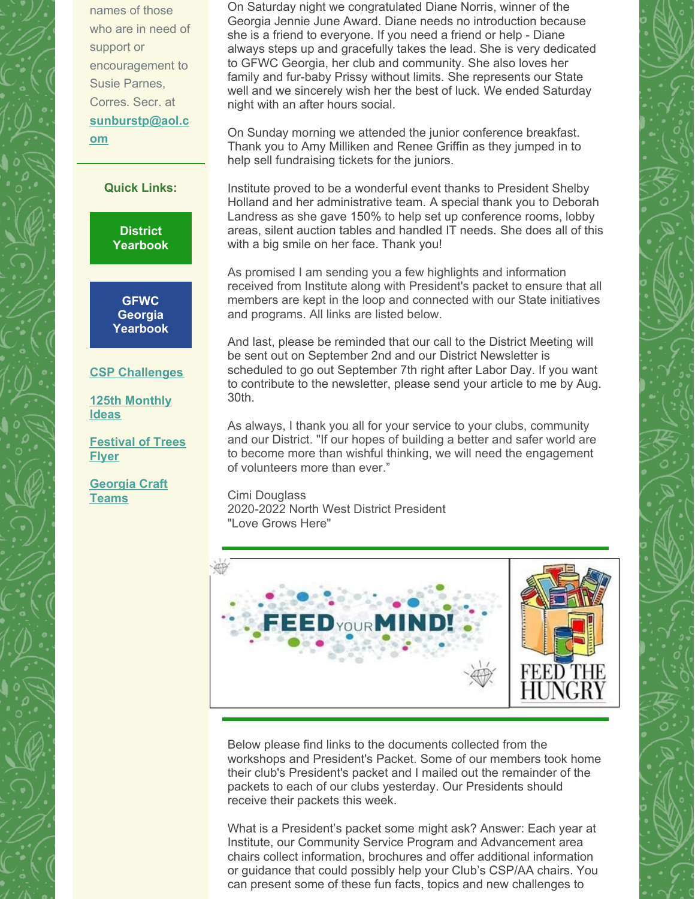names of those who are in need of support or encouragement to Susie Parnes, Corres. Secr. at **[sunburstp@aol.c](mailto:sunburstp@aol.com) om**

**Quick Links:**

**District [Yearbook](https://files.constantcontact.com/d8c8c931801/f0aa452b-11d6-4378-afff-00d76b3b31ab.pdf)**

**GFWC Georgia [Yearbook](https://gfwcgeorgia.files.wordpress.com/2020/11/revised2020-2022-yeabook.docx-google-docs.pdf)**

#### **CSP [Challenges](https://files.constantcontact.com/d8c8c931801/e0c2d028-f7fd-407d-9458-1c32874b4916.pdf)**

**125th [Monthly](https://files.constantcontact.com/d8c8c931801/3d7b4ee9-c312-406c-bd94-d968f528a82a.pdf) Ideas**

**[Festival](https://files.constantcontact.com/d8c8c931801/564873bd-d4cb-41c8-844b-d1f046766bf0.pdf) of Trees Flyer**

**[Georgia](https://files.constantcontact.com/d8c8c931801/904c894f-f538-4edf-acaf-2ec8e481a07c.docx) Craft Teams**

On Saturday night we congratulated Diane Norris, winner of the Georgia Jennie June Award. Diane needs no introduction because she is a friend to everyone. If you need a friend or help - Diane always steps up and gracefully takes the lead. She is very dedicated to GFWC Georgia, her club and community. She also loves her family and fur-baby Prissy without limits. She represents our State well and we sincerely wish her the best of luck. We ended Saturday night with an after hours social.

On Sunday morning we attended the junior conference breakfast. Thank you to Amy Milliken and Renee Griffin as they jumped in to help sell fundraising tickets for the juniors.

Institute proved to be a wonderful event thanks to President Shelby Holland and her administrative team. A special thank you to Deborah Landress as she gave 150% to help set up conference rooms, lobby areas, silent auction tables and handled IT needs. She does all of this with a big smile on her face. Thank you!

As promised I am sending you a few highlights and information received from Institute along with President's packet to ensure that all members are kept in the loop and connected with our State initiatives and programs. All links are listed below.

And last, please be reminded that our call to the District Meeting will be sent out on September 2nd and our District Newsletter is scheduled to go out September 7th right after Labor Day. If you want to contribute to the newsletter, please send your article to me by Aug. 30th.

As always, I thank you all for your service to your clubs, community and our District. "If our hopes of building a better and safer world are to become more than wishful thinking, we will need the engagement of volunteers more than ever."

Cimi Douglass 2020-2022 North West District President "Love Grows Here"



Below please find links to the documents collected from the workshops and President's Packet. Some of our members took home their club's President's packet and I mailed out the remainder of the packets to each of our clubs yesterday. Our Presidents should receive their packets this week.

What is a President's packet some might ask? Answer: Each year at Institute, our Community Service Program and Advancement area chairs collect information, brochures and offer additional information or guidance that could possibly help your Club's CSP/AA chairs. You can present some of these fun facts, topics and new challenges to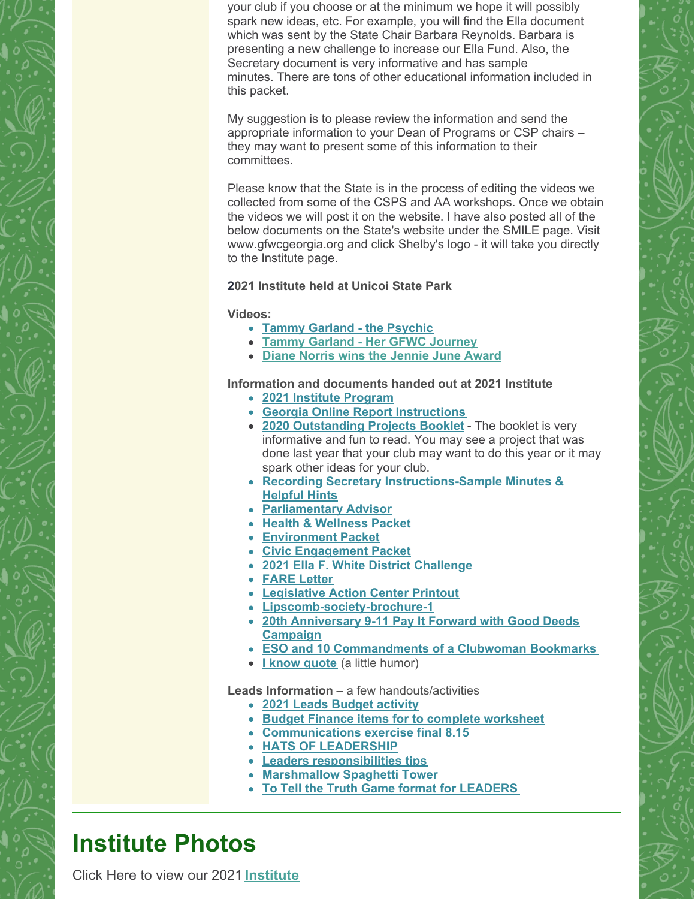your club if you choose or at the minimum we hope it will possibly spark new ideas, etc. For example, you will find the Ella document which was sent by the State Chair Barbara Reynolds. Barbara is presenting a new challenge to increase our Ella Fund. Also, the Secretary document is very informative and has sample minutes. There are tons of other educational information included in this packet.

My suggestion is to please review the information and send the appropriate information to your Dean of Programs or CSP chairs – they may want to present some of this information to their committees.

Please know that the State is in the process of editing the videos we collected from some of the CSPS and AA workshops. Once we obtain the videos we will post it on the website. I have also posted all of the below documents on the State's website under the SMILE page. Visit www.gfwcgeorgia.org and click Shelby's logo - it will take you directly to the Institute page.

#### **2021 Institute held at Unicoi State Park**

#### **Videos:**

- **Tammy [Garland](https://youtu.be/AijU1B3r6bk) - the Psychic**
- **Tammy Garland - Her GFWC [Journey](https://youtu.be/vaQ-H1h1V74)**
- **Diane Norris wins the [Jennie](https://youtu.be/ek0OXA2wj3s) June Award**

#### **Information and documents handed out at 2021 Institute**

- **2021 Institute [Program](https://gfwcgeorgia.files.wordpress.com/2021/08/2021-institute-program.pdf)**
- **Georgia Online Report [Instructions](https://gfwcgeorgia.files.wordpress.com/2021/08/georgia-online-report-instructions.pdf)**
- **2020 [Outstanding](https://gfwcgeorgia.files.wordpress.com/2021/08/2020-outstanding-projects-booklet.pdf) Projects Booklet** The booklet is very informative and fun to read. You may see a project that was done last year that your club may want to do this year or it may spark other ideas for your club.
- **Recording Secretary [Instructions-Sample](https://gfwcgeorgia.files.wordpress.com/2021/08/recording-secretary-instructions-sample-minutes-helpful-hints.pdf) Minutes & Helpful Hints**
- **[Parliamentary](https://gfwcgeorgia.files.wordpress.com/2021/08/parlimentary-advisor.pdf) Advisor**
- **Health & [Wellness](https://gfwcgeorgia.files.wordpress.com/2021/08/health-wellness-packet.pdf) Packet**
- **[Environment](https://gfwcgeorgia.files.wordpress.com/2021/08/environment-packet.pdf) Packet**
- **Civic [Engagement](https://gfwcgeorgia.files.wordpress.com/2021/08/civic-engagement-packet.pdf) Packet**
- **2021 Ella F. White District [Challenge](https://gfwcgeorgia.files.wordpress.com/2021/08/2021-district-challenge.docx)**
- **[FARE](https://gfwcgeorgia.files.wordpress.com/2021/08/fare-letter.pdf) Letter**
- **[Legislative](https://gfwcgeorgia.files.wordpress.com/2021/08/legislative-action-center-printout.pdf) Action Center Printout**
- **[Lipscomb-society-brochure-1](https://gfwcgeorgia.files.wordpress.com/2021/08/lipscomb-society-brochure-1.pdf)**
- **20th [Anniversary](https://gfwcgeorgia.files.wordpress.com/2021/08/20th-anniversary-9-11-pay-it-forward-with-good-deeds-campaign.pdf) 9-11 Pay It Forward with Good Deeds Campaign**
- **ESO and 10 [Commandments](https://gfwcgeorgia.files.wordpress.com/2021/08/eso-and-10-commandments-of-a-clubwoman-bookmark.pdf) of a Clubwoman Bookmarks**
- **I know [quote](https://gfwcgeorgia.files.wordpress.com/2021/08/i-know-quote.pdf)** (a little humor)

**Leads Information** – a few handouts/activities

- **2021 Leads [Budget](https://gfwcgeorgia.files.wordpress.com/2021/08/2021-leads-budget-activity.xlsx) activity**
- **Budget Finance items for to complete [worksheet](https://gfwcgeorgia.files.wordpress.com/2021/08/budget-finance-items-for-to-complete-worksheet.docx)**
- **[Communications](https://gfwcgeorgia.files.wordpress.com/2021/08/communications-exercise-final-8.15.docx) exercise final 8.15**
- **HATS OF [LEADERSHIP](https://gfwcgeorgia.files.wordpress.com/2021/08/hats-of-leadership.docx)**
- **Leaders [responsibilities](https://gfwcgeorgia.files.wordpress.com/2021/08/leaders-responsiblities-tips-f.docx) tips**
- **[Marshmallow](https://gfwcgeorgia.files.wordpress.com/2021/08/marshmallow-spaghetti-tower.docx) Spaghetti Tower**
- **To Tell the Truth Game format for [LEADERS](https://gfwcgeorgia.files.wordpress.com/2021/08/to-tell-the-truth-game-format-for-leaders.docx)**

## **Institute Photos**

Click Here to view our 2021 **[Institute](https://drive.google.com/drive/folders/1iZogq8HFjUFmCL4yG4jXNyF1ztdDmPlh?usp=sharing)**